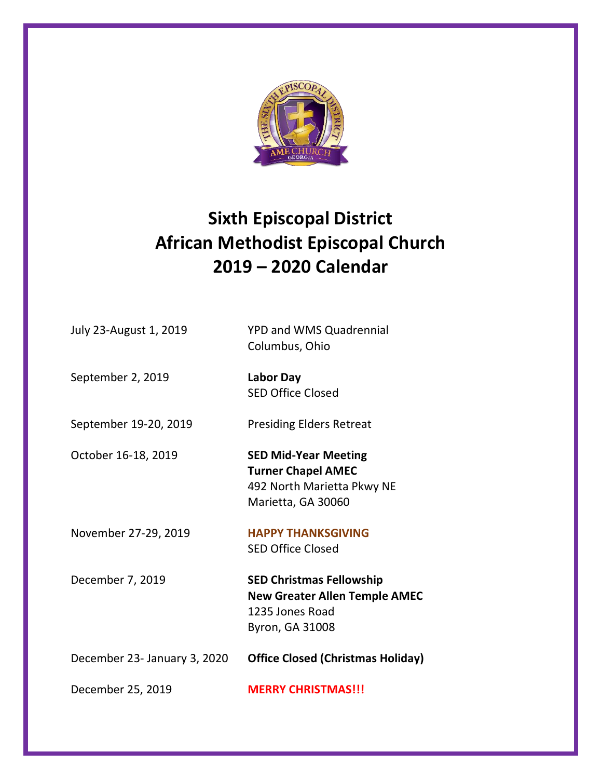

## **Sixth Episcopal District African Methodist Episcopal Church 2019 – 2020 Calendar**

| July 23-August 1, 2019       | <b>YPD and WMS Quadrennial</b><br>Columbus, Ohio                                                              |
|------------------------------|---------------------------------------------------------------------------------------------------------------|
| September 2, 2019            | <b>Labor Day</b><br><b>SED Office Closed</b>                                                                  |
| September 19-20, 2019        | <b>Presiding Elders Retreat</b>                                                                               |
| October 16-18, 2019          | <b>SED Mid-Year Meeting</b><br><b>Turner Chapel AMEC</b><br>492 North Marietta Pkwy NE<br>Marietta, GA 30060  |
| November 27-29, 2019         | <b>HAPPY THANKSGIVING</b><br><b>SED Office Closed</b>                                                         |
| December 7, 2019             | <b>SED Christmas Fellowship</b><br><b>New Greater Allen Temple AMEC</b><br>1235 Jones Road<br>Byron, GA 31008 |
| December 23- January 3, 2020 | <b>Office Closed (Christmas Holiday)</b>                                                                      |
| December 25, 2019            | <b>MERRY CHRISTMAS!!!</b>                                                                                     |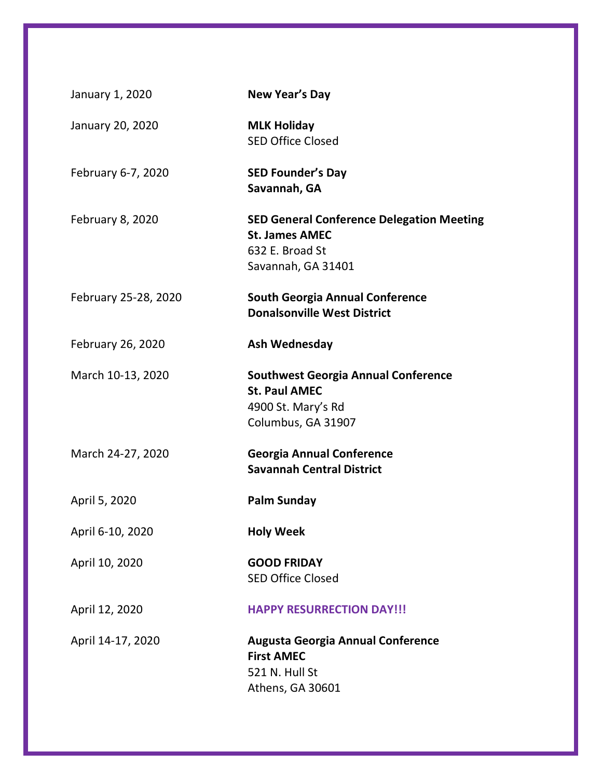| January 1, 2020         | New Year's Day                                                                                                     |
|-------------------------|--------------------------------------------------------------------------------------------------------------------|
| January 20, 2020        | <b>MLK Holiday</b><br><b>SED Office Closed</b>                                                                     |
| February 6-7, 2020      | <b>SED Founder's Day</b><br>Savannah, GA                                                                           |
| <b>February 8, 2020</b> | <b>SED General Conference Delegation Meeting</b><br><b>St. James AMEC</b><br>632 E. Broad St<br>Savannah, GA 31401 |
| February 25-28, 2020    | <b>South Georgia Annual Conference</b><br><b>Donalsonville West District</b>                                       |
| February 26, 2020       | Ash Wednesday                                                                                                      |
| March 10-13, 2020       | <b>Southwest Georgia Annual Conference</b><br><b>St. Paul AMEC</b><br>4900 St. Mary's Rd<br>Columbus, GA 31907     |
| March 24-27, 2020       | <b>Georgia Annual Conference</b><br><b>Savannah Central District</b>                                               |
| April 5, 2020           | <b>Palm Sunday</b>                                                                                                 |
| April 6-10, 2020        | <b>Holy Week</b>                                                                                                   |
| April 10, 2020          | <b>GOOD FRIDAY</b><br><b>SED Office Closed</b>                                                                     |
| April 12, 2020          | <b>HAPPY RESURRECTION DAY!!!</b>                                                                                   |
| April 14-17, 2020       | <b>Augusta Georgia Annual Conference</b><br><b>First AMEC</b><br>521 N. Hull St<br>Athens, GA 30601                |